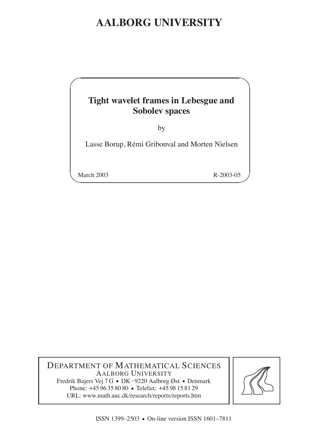# **AALBORG UNIVERSITY**

# **Tight wavelet frames in Lebesgue and Sobolev spaces**

by

Lasse Borup, Rémi Gribonval and Morten Nielsen

March 2003 R-2003-05

 $\overline{\phantom{a}}$ 

 $\overline{\phantom{0}}$ 

DEPARTMENT OF MATHEMATICAL SCIENCES AALBORG UNIVERSITY Fredrik Bajers Vej 7 G = DK - 9220 Aalborg Øst = Denmark Phone: +45 96 35 80 80 • Telefax: +45 98 15 81 29 URL: www.math.auc.dk/research/reports/reports.htm

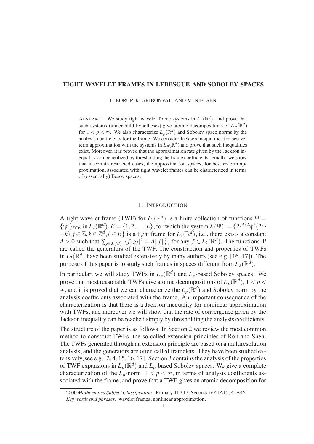# **TIGHT WAVELET FRAMES IN LEBESGUE AND SOBOLEV SPACES**

L. BORUP, R. GRIBONVAL, AND M. NIELSEN

ABSTRACT. We study tight wavelet frame systems in  $L_p(\mathbb{R}^d)$ , and prove that such systems (under mild hypotheses) give atomic decompositions of  $L_p(\mathbb{R}^d)$ for  $1 < p < \infty$ . We also characterize  $L_p(\mathbb{R}^d)$  and Sobolev space norms by the analysis coefficients for the frame. We consider Jackson inequalities for best *m*term approximation with the systems in  $L_p(\mathbb{R}^d)$  and prove that such inequalities exist. Moreover, it is proved that the approximation rate given by the Jackson inequality can be realized by thresholding the frame coefficients. Finally, we show that in certain restricted cases, the approximation spaces, for best *m*-term approximation, associated with tight wavelet frames can be characterized in terms of (essentially) Besov spaces.

### 1. INTRODUCTION

A tight wavelet frame (TWF) for  $L_2(\mathbb{R}^d)$  is a finite collection of functions  $\Psi =$  $\{\psi^{\ell}\}_{{\ell \in E}}$  in  $L_2(\mathbb{R}^d)$ ,  $E = \{1, 2, ..., L\}$ , for which the system  $X(\Psi) := \{2^{jd/2}\psi^{\ell}(2^j \cdot \Psi)$  $(-k)$   $|j \in \mathbb{Z}, k \in \mathbb{Z}^d, \ell \in E$  is a tight frame for  $L_2(\mathbb{R}^d)$ , i.e., there exists a constant *A* > 0 such that  $\sum_{g \in X(\Psi)} |\langle f, g \rangle|^2 = A ||f||^2_{L_2}$  for any  $f \in L_2(\mathbb{R}^d)$ . The functions  $\Psi$ are called the generators of the TWF. The construction and properties of TWFs in  $L_2(\mathbb{R}^d)$  have been studied extensively by many authors (see e.g. [16, 17]). The purpose of this paper is to study such frames in spaces different from  $L_2(\mathbb{R}^d)$ .

In particular, we will study TWFs in  $L_p(\mathbb{R}^d)$  and  $L_p$ -based Sobolev spaces. We prove that most reasonable TWFs give atomic decompositions of  $L_p(\mathbb{R}^d)$ ,  $1 < p <$  $\infty$ , and it is proved that we can characterize the  $L_p(\mathbb{R}^d)$  and Sobolev norm by the analysis coefficients associated with the frame. An important consequence of the characterization is that there is a Jackson inequality for nonlinear approximation with TWFs, and moreover we will show that the rate of convergence given by the Jackson inequality can be reached simply by thresholding the analysis coefficients.

The structure of the paper is as follows. In Section 2 we review the most common method to construct TWFs, the so-called extension principles of Ron and Shen. The TWFs generated through an extension principle are based on a multiresolution analysis, and the generators are often called framelets. They have been studied extensively, see e.g. [2, 4, 15, 16, 17]. Section 3 contains the analysis of the properties of TWF expansions in  $L_p(\mathbb{R}^d)$  and  $L_p$ -based Sobolev spaces. We give a complete characterization of the  $L_p$ -norm,  $1 < p < \infty$ , in terms of analysis coefficients associated with the frame, and prove that a TWF gives an atomic decomposition for

<sup>2000</sup> *Mathematics Subject Classification.* Primary 41A17; Secondary 41A15, 41A46.

*Key words and phrases.* wavelet frames, nonlinear approximation.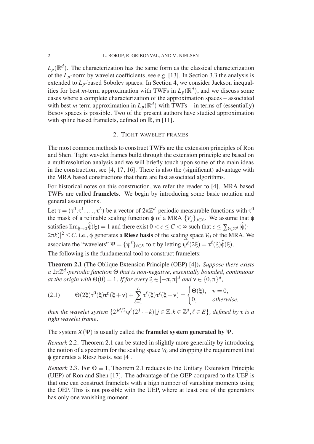$L_p(\mathbb{R}^d)$ . The characterization has the same form as the classical characterization of the  $L_p$ -norm by wavelet coefficients, see e.g. [13]. In Section 3.3 the analysis is extended to  $L_p$ -based Sobolev spaces. In Section 4, we consider Jackson inequalities for best *m*-term approximation with TWFs in  $L_p(\mathbb{R}^d)$ , and we discuss some cases where a complete characterization of the approximation spaces – associated with best *m*-term approximation in  $L_p(\mathbb{R}^d)$  with TWFs – in terms of (essentially) Besov spaces is possible. Two of the present authors have studied approximation with spline based framelets, defined on  $\mathbb{R}$ , in [11].

#### 2. TIGHT WAVELET FRAMES

The most common methods to construct TWFs are the extension principles of Ron and Shen. Tight wavelet frames build through the extension principle are based on a multiresolution analysis and we will briefly touch upon some of the main ideas in the construction, see [4, 17, 16]. There is also the (significant) advantage with the MRA based constructions that there are fast associated algorithms.

For historical notes on this construction, we refer the reader to [4]. MRA based TWFs are called **framelets**. We begin by introducing some basic notation and general assumptions.

Let  $\tau = (\tau^0, \tau^1, \dots, \tau^L)$  be a vector of  $2\pi \mathbb{Z}^d$ -periodic measurable functions with  $\tau^0$ the mask of a refinable scaling function  $\phi$  of a MRA  ${V_j}_{j \in \mathbb{Z}}$ . We assume that  $\phi$ satisfies  $\lim_{\xi \to 0} \widehat{\phi}(\xi) = 1$  and there exist  $0 < c \leq C < \infty$  such that  $c \leq \sum_{k \in \mathbb{Z}^d} |\widehat{\phi}(\cdot - \xi)|$  $(2\pi k)|^2 \le C$ , i.e.,  $\phi$  generates a **Riesz basis** of the scaling space  $V_0$  of the MRA. We associate the "wavelets"  $\Psi = {\psi^{\ell}}_{\ell \in E}$  to  $\tau$  by letting  $\psi^{\ell}(2\xi) = \tau^{\ell}(\xi)\widehat{\phi}(\xi)$ .

The following is the fundamental tool to construct framelets:

**Theorem 2.1** (The Oblique Extension Principle (OEP) [4])**.** *Suppose there exists* a 2π $\mathbb{Z}^d$ -periodic function  $\Theta$  that is non-negative, essentially bounded, continuous *at the origin with*  $\Theta(0) = 1$ *. If for every*  $\xi \in [-\pi, \pi]^d$  *and*  $v \in \{0, \pi\}^d$ *,* 

(2.1) 
$$
\Theta(2\xi)\tau^{0}(\xi)\overline{\tau^{0}(\xi+\nu)}+\sum_{\ell=1}^{L}\tau^{\ell}(\xi)\overline{\tau^{\ell}(\xi+\nu)}=\begin{cases} \Theta(\xi), & \nu=0, \\ 0, & otherwise, \end{cases}
$$

*then the wavelet system*  $\{2^{jd/2}\psi^{\ell}(2^{j}\cdot -k)|j \in \mathbb{Z}, k \in \mathbb{Z}^{d}, \ell \in E\}$ , *defined by*  $\tau$  *is a tight wavelet frame.*

## The system  $X(\Psi)$  is usually called the **framelet system generated by**  $\Psi$ .

*Remark* 2.2*.* Theorem 2.1 can be stated in slightly more generality by introducing the notion of a spectrum for the scaling space  $V_0$  and dropping the requirement that  $\phi$  generates a Riesz basis, see [4].

*Remark* 2.3. For  $\Theta \equiv 1$ , Theorem 2.1 reduces to the Unitary Extension Principle (UEP) of Ron and Shen [17]. The advantage of the OEP compared to the UEP is that one can construct framelets with a high number of vanishing moments using the OEP. This is not possible with the UEP, where at least one of the generators has only one vanishing moment.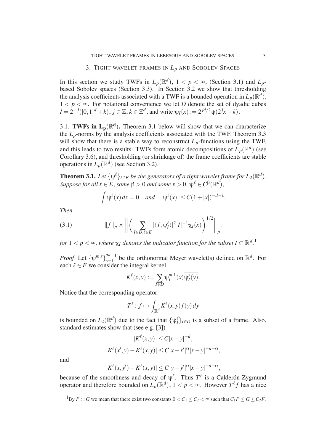In this section we study TWFs in  $L_p(\mathbb{R}^d)$ ,  $1 < p < \infty$ , (Section 3.1) and  $L_p$ based Sobolev spaces (Section 3.3). In Section 3.2 we show that thresholding the analysis coefficients associated with a TWF is a bounded operation in  $L_p(\mathbb{R}^d)$ ,  $1 < p < \infty$ . For notational convenience we let *D* denote the set of dyadic cubes  $I = 2^{-j}([0,1]^d + k)$ ,  $j \in \mathbb{Z}$ ,  $k \in \mathbb{Z}^d$ , and write  $\psi_I(x) := 2^{jd/2}\psi(2^jx - k)$ .

3.1. **TWFs in**  $L_p(\mathbb{R}^d)$ **. Theorem 3.1 below will show that we can characterize** the  $L_p$ -norms by the analysis coefficients associated with the TWF. Theorem 3.3 will show that there is a stable way to reconstruct  $L_p$ -functions using the TWF, and this leads to two results: TWFs form atomic decompositions of  $L_p(\mathbb{R}^d)$  (see Corollary 3.6), and thresholding (or shrinkage of) the frame coefficients are stable operations in  $L_p(\mathbb{R}^d)$  (see Section 3.2).

**Theorem 3.1.** Let  $\{\psi^\ell\}_{\ell \in E}$  be the generators of a tight wavelet frame for  $L_2(\mathbb{R}^d)$ .  $Suppose for all  $\ell \in E$ , some  $\beta > 0$  and some  $\varepsilon > 0$ ,  $\psi^{\ell} \in C^{\beta}(\mathbb{R}^d)$ ,$ 

$$
\int \psi^{\ell}(x) dx = 0 \quad and \quad |\psi^{\ell}(x)| \le C(1+|x|)^{-d-\epsilon}.
$$

*Then*

$$
(3.1) \t\t ||f||_p \approx \left\| \left( \sum_{I \in D, \ell \in E} |\langle f, \psi_I^{\ell} \rangle|^2 |I|^{-1} \chi_I(x) \right)^{1/2} \right\|_p,
$$

*for*  $1 < p < \infty$ , where  $\chi_I$  denotes the indicator function for the subset  $I \subset \mathbb{R}^{d}$  .<sup>1</sup>

*Proof.* Let  $\{\psi^{m,s}\}_{s=1}^{2^d-1}$  $2^{d}-1$  be the orthonormal Meyer wavelet(s) defined on  $\mathbb{R}^{d}$ . For each  $\ell \in E$  we consider the integral kernel

$$
K^{\ell}(x, y) := \sum_{I \in D} \psi_I^{m, 1}(x) \overline{\psi_I^{\ell}(y)}.
$$

Notice that the corresponding operator

$$
T^{\ell} \colon f \mapsto \int_{\mathbb{R}^d} K^{\ell}(x, y) f(y) \, dy
$$

is bounded on  $L_2(\mathbb{R}^d)$  due to the fact that  $\{\psi_I^{\ell}\}_{I \in D}$  is a subset of a frame. Also, standard estimates show that (see e.g. [3])

$$
|K^{\ell}(x, y)| \le C|x - y|^{-d},
$$
  

$$
|K^{\ell}(x', y) - K^{\ell}(x, y)| \le C|x - x'|^{\alpha}|x - y|^{-d - \alpha},
$$

and

$$
|K^{\ell}(x, y') - K^{\ell}(x, y)| \le C|y - y'|^{\alpha}|x - y|^{-d - \alpha},
$$

because of the smoothness and decay of  $\psi^{\ell}$ . Thus  $T^{\ell}$  is a Calderón-Zygmund operator and therefore bounded on  $L_p(\mathbb{R}^d)$ ,  $1 < p < \infty$ . However  $T^{\ell}f$  has a nice

 ${}^{1}$ By  $F \simeq G$  we mean that there exist two constants  $0 < C_1 \le C_2 < \infty$  such that  $C_1F \le G \le C_2F$ .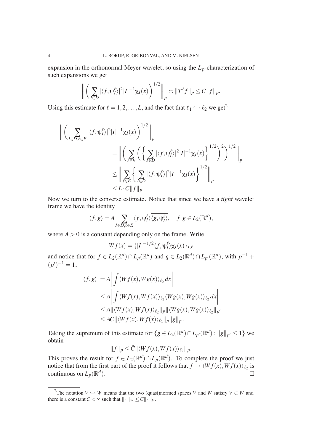expansion in the orthonormal Meyer wavelet, so using the  $L_p$ -characterization of such expansions we get

$$
\left\| \left( \sum_{I \in D} |\langle f, \psi_I^{\ell} \rangle|^2 |I|^{-1} \chi_I(x) \right)^{1/2} \right\|_p \asymp \|T^{\ell} f\|_p \le C \|f\|_p.
$$

Using this estimate for  $\ell = 1, 2, ..., L$ , and the fact that  $\ell_1 \hookrightarrow \ell_2$  we get<sup>2</sup>

$$
\begin{aligned} \left\| \left( \sum_{I \in D, \ell \in E} |\langle f, \psi_I^{\ell} \rangle|^2 |I|^{-1} \chi_I(x) \right)^{1/2} \right\|_p \\ &= \left\| \left( \sum_{\ell \in E} \left( \left\{ \sum_{I \in D} |\langle f, \psi_I^{\ell} \rangle|^2 |I|^{-1} \chi_I(x) \right\}^{1/2} \right)^2 \right)^{1/2} \right\|_p \\ &\leq \left\| \sum_{\ell \in E} \left\{ \sum_{I \in D} |\langle f, \psi_I^{\ell} \rangle|^2 |I|^{-1} \chi_I(x) \right\}^{1/2} \right\|_p \\ &\leq L \cdot C \|f\|_p. \end{aligned}
$$

Now we turn to the converse estimate. Notice that since we have a *tight* wavelet frame we have the identity

$$
\langle f, g \rangle = A \sum_{I \in D, \ell \in E} \langle f, \psi_I^{\ell} \rangle \overline{\langle g, \psi_I^{\ell} \rangle}, \quad f, g \in L_2(\mathbb{R}^d),
$$

where  $A > 0$  is a constant depending only on the frame. Write

$$
Wf(x) = \{|I|^{-1/2}\langle f, \psi_I^{\ell} \rangle \chi_I(x)\}_{I, \ell}
$$

and notice that for  $f \in L_2(\mathbb{R}^d) \cap L_p(\mathbb{R}^d)$  and  $g \in L_2(\mathbb{R}^d) \cap L_{p'}(\mathbb{R}^d)$ , with  $p^{-1}$  +  $(p')^{-1} = 1,$ 

$$
|\langle f, g \rangle| = A \left| \int \langle Wf(x), Wg(x) \rangle_{\ell_2} dx \right|
$$
  
\n
$$
\leq A \left| \int \langle Wf(x), Wf(x) \rangle_{\ell_2} \langle Wg(x), Wg(x) \rangle_{\ell_2} dx \right|
$$
  
\n
$$
\leq A \|\langle Wf(x), Wf(x) \rangle_{\ell_2}\|_p \|\langle Wg(x), Wg(x) \rangle_{\ell_2}\|_{p'}
$$
  
\n
$$
\leq AC \|\langle Wf(x), Wf(x) \rangle_{\ell_2}\|_p \|g\|_{p'}.
$$

Taking the supremum of this estimate for  $\{g \in L_2(\mathbb{R}^d) \cap L_{p'}(\mathbb{R}^d) : ||g||_{p'} \leq 1\}$  we obtain

$$
||f||_p \leq \tilde{C}||\langle Wf(x), Wf(x)\rangle_{\ell_2}||_p.
$$

This proves the result for  $f \in L_2(\mathbb{R}^d) \cap L_p(\mathbb{R}^d)$ . To complete the proof we just notice that from the first part of the proof it follows that  $f \mapsto \langle Wf(x), Wf(x) \rangle_{\ell_2}$  is continuous on  $L_p(\mathbb{R}^d)$  $\Box$ ).

<sup>&</sup>lt;sup>2</sup>The notation *V*  $\hookrightarrow$  *W* means that the two (quasi)normed spaces *V* and *W* satisfy *V*  $\subset$  *W* and there is a constant  $C < \infty$  such that  $|| \cdot ||_W \leq C || \cdot ||_V$ .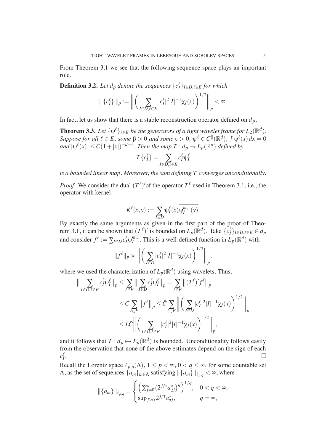From Theorem 3.1 we see that the following sequence space plays an important role.

**Definition 3.2.** *Let d<sub>p</sub> denote the sequences*  $\{c^{\ell}_I\}_{I \in D, \ell \in E}$  *for which* 

$$
\|\{c_I^{\ell}\}\|_{p} := \bigg\|\bigg(\sum_{I\in D,\ell\in E}|c_I^{\ell}|^2|I|^{-1}\chi_I(x)\bigg)^{1/2}\bigg\|_{p} < \infty.
$$

In fact, let us show that there is a stable reconstruction operator defined on  $d<sub>p</sub>$ .

**Theorem 3.3.** Let  $\{\psi^\ell\}_{\ell \in E}$  be the generators of a tight wavelet frame for  $L_2(\mathbb{R}^d)$ . *Suppose for all*  $\ell \in E$ *, some*  $\beta > 0$  *and some*  $\epsilon > 0$ ,  $\psi^{\ell} \in C^{\beta}(\mathbb{R}^d)$ ,  $\int \psi^{\ell}(x) dx = 0$  $|A| \psi^{\ell}(x)| \leq C(1+|x|)^{-d-\epsilon}$ . Then the map  $T: d_p \mapsto L_p(\mathbb{R}^d)$  defined by

$$
T\{c_I^{\ell}\} = \sum_{I \in D, \ell \in E} c_I^{\ell} \psi_I^{\ell}
$$

*is a bounded linear map. Moreover, the sum defining T converges unconditionally.*

*Proof.* We consider the dual  $(T^{\ell})'$  of the operator  $T^{\ell}$  used in Theorem 3.1, i.e., the operator with kernel

$$
\tilde{K}^{\ell}(x,y):=\sum_{I\in D}\psi_I^{\ell}(x)\overline{\psi_I^{m,1}(y)}.
$$

By exactly the same arguments as given in the first part of the proof of Theorem 3.1, it can be shown that  $(T^{\ell})'$  is bounded on  $L_p(\mathbb{R}^d)$ . Take  $\{c_I^{\ell}\}_{I \in D, \ell \in E} \in d_p$ and consider  $f^{\ell} := \sum_{I \in D} c_I^{\ell} \psi_I^{m,1}$  $I_I^{m,1}$ . This is a well-defined function in  $L_p(\mathbb{R}^d)$  with

$$
||f^{\ell}||_p \asymp \bigg\| \bigg( \sum_{I \in D} |c_I^{\ell}|^2 |I|^{-1} \chi_I(x) \bigg)^{1/2} \bigg\|_p,
$$

where we used the characterization of  $L_p(\mathbb{R}^d)$  using wavelets. Thus,

$$
\|\sum_{I\in D,\ell\in E} c_I^{\ell} \psi_I^{\ell}\|_p \le \sum_{\ell\in E} \|\sum_{I\in D} c_I^{\ell} \psi_I^{\ell}\|_p = \sum_{\ell\in E} \|(T^{\ell})' f^{\ell}\|_p
$$
  

$$
\le C \sum_{\ell\in E} \|f^{\ell}\|_p \le \tilde{C} \sum_{\ell\in E} \left\| \left(\sum_{I\in D} |c_I^{\ell}|^2 |I|^{-1} \chi_I(x)\right)^{1/2} \right\|_p
$$
  

$$
\le L\tilde{C} \left\| \left(\sum_{I\in D,\ell\in E} |c_I^{\ell}|^2 |I|^{-1} \chi_I(x)\right)^{1/2} \right\|_p,
$$

and it follows that  $T: d_p \mapsto L_p(\mathbb{R}^d)$  is bounded. Unconditionality follows easily from the observation that none of the above estimates depend on the sign of each  $c^{\ell}_I$ . The contract of the contract of the contract of the contract of the contract of the contract of the contract of the contract of the contract of the contract of the contract of the contract of the contract of the contrac

Recall the Lorentz space  $\ell_{p,q}(\Lambda)$ ,  $1 \leq p < \infty$ ,  $0 < q \leq \infty$ , for some countable set  $\Lambda$ , as the set of sequences  $\{a_m\}_{m\in\Lambda}$  satisfying  $\|\{a_m\}\|_{\ell_{p,q}} < \infty$ , where

$$
\|\{a_m\}\|_{\ell_{p,q}} = \begin{cases} \left(\sum_{j=0}^{\infty} (2^{j/\tau} a_{2^j}^*)^q\right)^{1/q}, & 0 < q < \infty, \\ \sup_{j\geq 0} 2^{j/\tau} a_{2^j}^*, & q = \infty, \end{cases}
$$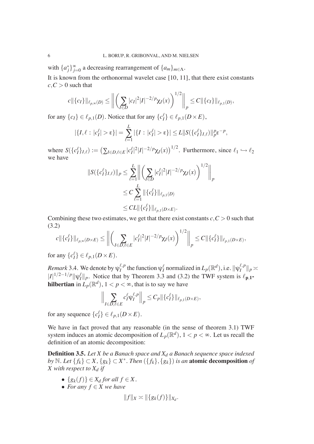with  ${a_j^*}_{j=0}^{\infty}$  a decreasing rearrangement of  ${a_m}_{m \in \Lambda}$ .

It is known from the orthonormal wavelet case [10, 11], that there exist constants  $c, C > 0$  such that

$$
c\|\{c_I\}\|_{\ell_{p,\infty}(D)} \le \bigg\|\bigg(\sum_{I\in D}|c_I|^2|I|^{-2/p}\chi_I(x)\bigg)^{1/2}\bigg\|_p \le C\|\{c_I\}\|_{\ell_{p,1}(D)},
$$

for any  $\{c_I\} \in \ell_{p,1}(D)$ . Notice that for any  $\{c_I^{\ell}\} \in \ell_{p,1}(D \times E)$ ,

$$
|\{I,\ell:|c_I^{\ell}|>\varepsilon\}|=\sum_{\ell=1}^L|\{I:|c_I^{\ell}|>\varepsilon\}|\leq L\|S(\{c_I^{\ell}\}_{I,\ell})\|_{p}^{p}\varepsilon^{-p},
$$

where  $S(\{c_I^{\ell}\}_{I,\ell}) := (\sum_{I \in D, \ell \in E} |c_I^{\ell}|^2 |I|^{-2/p} \chi_I(x))^{1/2}$ . Furthermore, since  $\ell_1 \hookrightarrow \ell_2$ we have

$$
||S(\{c_I^{\ell}\}_{I,\ell})||_p \le \sum_{\ell=1}^L \left\| \left( \sum_{I \in D} |c_I^{\ell}|^2 |I|^{-2/p} \chi_I(x) \right)^{1/2} \right\|_p
$$
  
\n
$$
\le C \sum_{\ell=1}^L ||\{c_I^{\ell}\}\|_{\ell_{p,1}(D)}
$$
  
\n
$$
\le C L ||\{c_I^{\ell}\}\|_{\ell_{p,1}(D \times E)}.
$$

Combining these two estimates, we get that there exist constants  $c, C > 0$  such that (3.2)

$$
c\|\{c_I^{\ell}\}\|_{\ell_{p,\infty}(D\times E)} \le \bigg\|\bigg(\sum_{I\in\mathcal{D},\ell\in E}|c_I^{\ell}|^2|I|^{-2/p}\chi_I(x)\bigg)^{1/2}\bigg\|_p \le C\|\{c_I^{\ell}\}\|_{\ell_{p,1}(D\times E)},
$$

for any  $\{c_I^{\ell}\}\in \ell_{p,1}(D\times E)$ .

*Remark* 3.4. We denote by  $\psi_I^{\ell,p}$  $\prod_I^{\ell,p}$  the function  $\psi_I^{\ell}$  normalized in  $L_p(\mathbb{R}^d)$ , i.e.  $\|\psi_I^{\ell,p}\|$  $\frac{\ell}{I}$ <sup>*p*</sup> $||_p \asymp$  $|I|^{1/2-1/p}$ || $\psi_I^{\ell}$ || $_P$ . Notice that by Theorem 3.3 and (3.2) the TWF system is  $\ell_{p,1}$ **hilbertian** in  $\overline{L}_p(\mathbb{R}^d)$ ,  $1 < p < \infty$ , that is to say we have

$$
\Big\|\sum_{I\in D,\ell\in E}c_I^{\ell}\psi_I^{\ell,p}\Big\|_p\leq C_p\|\{c_I^{\ell}\}\|_{\ell_{p,1}(D\times E)},
$$

for any sequence  $\{c_I^{\ell}\}\in \ell_{p,1}(D\times E)$ .

We have in fact proved that any reasonable (in the sense of theorem 3.1) TWF system induces an atomic decomposition of  $L_p(\mathbb{R}^d)$ ,  $1 < p < \infty$ . Let us recall the definition of an atomic decomposition:

**Definition 3.5.** *Let X be a Banach space and X<sup>d</sup> a Banach sequence space indexed by*  $\mathbb{N}$ *. Let*  $\{f_k\} \subset X$ *,*  $\{g_k\} \subset X^*$ *. Then*  $(\{f_k\}, \{g_k\})$  *is an* **atomic decomposition** *of X with respect to X<sup>d</sup> if*

- $\bullet$  {*g<sub>k</sub>*(*f*)} ∈ *X<sub>d</sub> for all f* ∈ *X*.
- *For any f* ∈ *X we have*

$$
||f||_X \asymp ||\{g_k(f)\}||_{X_d}.
$$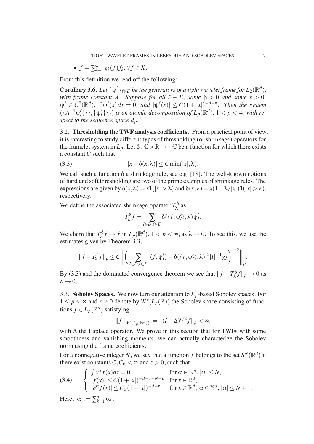• 
$$
f = \sum_{k=1}^{\infty} g_k(f) f_k, \forall f \in X.
$$

From this definition we read off the following:

**Corollary 3.6.** Let  $\{\psi^\ell\}_{\ell \in E}$  be the generators of a tight wavelet frame for  $L_2(\mathbb{R}^d)$ , *with frame constant A.* Suppose for all  $\ell \in E$ , some  $\beta > 0$  and some  $\epsilon > 0$ ,  $\psi^{\ell} \in C^{\beta}(\mathbb{R}^{d}), \int \psi^{\ell}(x) dx = 0$ , and  $|\psi^{\ell}(x)| \leq C(1+|x|)^{-d-\epsilon}$ . Then the system  $(\{A^{-1}\psi_I^{\ell}\}_{I,\ell}, \{\psi_I^{\ell}\}_{I,\ell})$  *is an atomic decomposition of*  $L_p(\mathbb{R}^d)$ ,  $1 < p < \infty$ , with re*spect to the sequence space dp.*

3.2. **Thresholding the TWF analysis coefficients.** From a practical point of view, it is interesting to study different types of thresholding (or shrinkage) operators for the framelet system in  $L_p$ . Let  $\delta: \mathbb{C} \times \mathbb{R}^+ \mapsto \mathbb{C}$  be a function for which there exists a constant *C* such that

(3.3) 
$$
|x-\delta(x,\lambda)| \leq C \min(|x|,\lambda).
$$

We call such a function  $\delta$  a shrinkage rule, see e.g. [18]. The well-known notions of hard and soft thresholding are two of the prime examples of shrinkage rules. The expressions are given by  $\delta(x,\lambda) = x\mathbf{1}(|x| > \lambda)$  and  $\delta(x,\lambda) = x(1-\lambda/|x|)\mathbf{1}(|x| > \lambda)$ , respectively.

We define the associated shrinkage operator  $T_\lambda^{\delta}$  $\lambda^{\rm o}$  as

$$
T_\lambda^\delta f = \sum_{I \in D, \ell \in E} \delta(\langle f, \psi_I^\ell \rangle, \lambda) \psi_I^\ell.
$$

We claim that  $T_\lambda^{\delta}$  $\lambda$ <sup>*f*</sup> $f \to f$  in  $L_p(\mathbb{R}^d)$ ,  $1 < p < \infty$ , as  $\lambda \to 0$ . To see this, we use the estimates given by Theorem 3.3,

$$
||f - T_{\lambda}^{\delta} f||_p \le C \bigg\| \bigg( \sum_{I \in D, \ell \in E} |\langle f, \psi_I^{\ell} \rangle - \delta(\langle f, \psi_I^{\ell} \rangle, \lambda)|^2 |I|^{-1} \chi_I \bigg)^{1/2} \bigg\|_p.
$$

By (3.3) and the dominated convergence theorem we see that  $||f - T_\lambda^{\delta}$  $\chi^{\delta} f \|_p \to 0$  as  $\lambda \rightarrow 0$ .

3.3. **Sobolev Spaces.** We now turn our attention to *Lp*-based Sobolev spaces. For  $1 \leq p \leq \infty$  and  $r \geq 0$  denote by  $W^r(L_p(\mathbb{R}))$  the Sobolev space consisting of functions  $f \in L_p(\mathbb{R}^d)$  satisfying

$$
||f||_{W^{r}(L_p(\mathbb{R}^d))} := ||(I-\Delta)^{r/2}f||_p < \infty,
$$

with  $\Delta$  the Laplace operator. We prove in this section that for TWFs with some smoothness and vanishing moments, we can actually characterize the Sobolev norm using the frame coefficients.

For a nonnegative integer N, we say that a function f belongs to the set  $S^N(\mathbb{R}^d)$  if there exist constants  $C, C_{\alpha} < \infty$  and  $\epsilon > 0$ , such that

(3.4) 
$$
\begin{cases} \n\int x^{\alpha} f(x) dx = 0 & \text{for } \alpha \in \mathbb{N}^d, |\alpha| \leq N, \\ \n\int |\beta(\alpha)| dx \leq C(1+|x|)^{-d-1-N-\epsilon} & \text{for } x \in \mathbb{R}^d, \\ \n\int |\partial^{\alpha} f(x)| dx \leq C_{\alpha}(1+|x|)^{-d-\epsilon} & \text{for } x \in \mathbb{R}^d, \ \alpha \in \mathbb{N}^d, |\alpha| \leq N+1. \n\end{cases}
$$

Here,  $|\alpha| := \sum_{k=1}^d \alpha_k$ .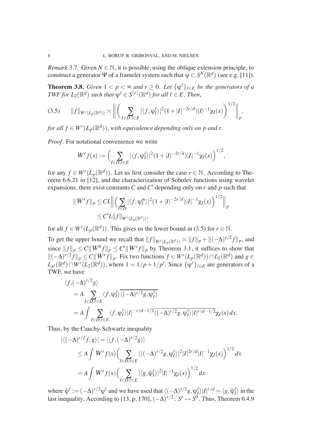*Remark* 3.7. Given  $N \in \mathbb{N}$ , it is possible, using the oblique extension principle, to construct a generator  $\Psi$  of a framelet system such that  $\psi \subset S^N(\mathbb{R}^d)$  (see e.g. [11]).

**Theorem 3.8.** *Given*  $1 < p < \infty$  *and*  $r \ge 0$ *. Let*  $\{\psi^{\ell}\}_{\ell \in E}$  *be the generators of a*  $\mathit{TWF}$  *for*  $L_2(\mathbb{R}^d)$  *such that*  $\psi^\ell \in S^{ \lceil r \rceil }(\mathbb{R}^d)$  *for all*  $\ell \in E$  . Then,

$$
(3.5) \qquad ||f||_{W^{r}(L_{p}(\mathbb{R}^{d}))} \asymp \left\| \left( \sum_{I \in D, \ell \in E} |\langle f, \psi_{I}^{\ell} \rangle|^{2} (1 + |I|^{-2r/d}) |I|^{-1} \chi_{I}(x) \right)^{1/2} \right\|_{p},
$$

*for all*  $f \in W^r(L_p(\mathbb{R}^d))$ , with equivalence depending only on p and r.

*Proof.* For notational convenience we write

$$
W^r f(x) := \Big(\sum_{I \in D, \ell \in E} |\langle f, \psi_I^{\ell} \rangle|^2 (1 + |I|^{-2r/d}) |I|^{-1} \chi_I(x)\Big)^{1/2},
$$

for any  $f \in W^{r}(L_p(\mathbb{R}^d))$ . Let us first consider the case  $r \in \mathbb{N}$ . According to Theorem 6.6.21 in [12], and the characterization of Sobolev functions using wavelet expansions, there exist constants  $C$  and  $C'$  depending only on  $r$  and  $p$  such that

$$
||W^{r} f||_{p} \leq C L \Big\| \Big( \sum_{I \in D} |\langle f, \psi_{I}^{m} \rangle|^{2} (1 + |I|^{-2r/d}) |I|^{-1} \chi_{I}(x) \Big)^{1/2} \Big\|_{p}
$$
  
\n
$$
\leq C' L ||f||_{W^{r}(L_{p}(\mathbb{R}^{d}))},
$$

for all  $f \in W^r(L_p(\mathbb{R}^d))$ . This gives us the lower bound in (3.5) for  $r \in \mathbb{N}$ .

To get the upper bound we recall that  $||f||_{W^r(L_p(\mathbb{R}^d))} \asymp ||f||_p + ||(-\Delta)^{r/2}f||_p$ , and since  $||f||_p \leq C||W^0 f||_p \leq C'||W^r f||_p$  by Theorem 3.1, it suffices to show that  $\|(-\Delta)^{r/2} f\|_p \leq C \|W^r f\|_p$ . Fix two functions  $f \in W^r(L_p(\mathbb{R}^d)) \cap L_2(\mathbb{R}^d)$  and  $g \in$  $L_{p'}(\mathbb{R}^d) \cap W^r(L_2(\mathbb{R}^d))$ , where  $1 = 1/p + 1/p'$ . Since  $\{\psi^{\ell}\}_{\ell \in E}$  are generators of a TWF, we have

$$
\langle f, (-\Delta)^{r/2} g \rangle
$$
  
=  $A \sum_{I \in D, \ell \in E} \langle f, \psi_I^{\ell} \rangle \overline{\langle (-\Delta)^{r/2} g, \psi_I^{\ell} \rangle}$   
=  $A \int \sum_{I \in D, \ell \in E} \langle f, \psi_I^{\ell} \rangle |I|^{-r/d - 1/2} \overline{\langle (-\Delta)^{r/2} g, \psi_I^{\ell} \rangle |I|^{r/d - 1/2}} \chi_I(x) dx.$ 

Thus, by the Cauchy-Schwartz inequality

$$
\begin{aligned} |\langle (-\Delta)^{r/2} f, g \rangle| &= |\langle f, (-\Delta)^{r/2} g \rangle| \\ &\le A \int W^r f(x) \Big( \sum_{I \in D, \ell \in E} |\langle (-\Delta)^{r/2} g, \psi_I^{\ell} \rangle|^2 |I|^{2r/d} |I|^{-1} \chi_I(x) \Big)^{1/2} dx \\ &= A \int W^r f(x) \Big( \sum_{I \in D, \ell \in E} |\langle g, \tilde{\psi}_I^{\ell} \rangle|^2 |I|^{-1} \chi_I(x) \Big)^{1/2} dx \end{aligned}
$$

where  $\tilde{\psi}^{\ell} := (-\Delta)^{r/2} \psi^{\ell}$  and we have used that  $\langle (-\Delta)^{r/2} g, \psi^{\ell}_I \rangle |I|^{r/d} = \langle g, \tilde{\psi}^{\ell}_I \rangle$  in the last inequality. According to [13, p. 170],  $(-\Delta)^{r/2}$ :  $S^r \mapsto S^0$ . Thus, Theorem 6.4.9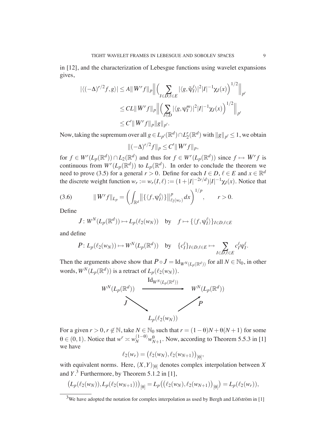in [12], and the characterization of Lebesgue functions using wavelet expansions gives,

$$
\begin{aligned} |\langle (-\Delta)^{r/2} f, g \rangle| &\leq A \|W^r f\|_p \Big\| \Big( \sum_{I \in D, \ell \in E} |\langle g, \tilde{\psi}_I^{\ell} \rangle|^2 |I|^{-1} \chi_I(x) \Big)^{1/2} \Big\|_{p'} \\ &\leq CL \|W^r f\|_p \Big\| \Big( \sum_{I \in D} |\langle g, \psi_I^m \rangle|^2 |I|^{-1} \chi_I(x) \Big)^{1/2} \Big\|_{p'} \\ &\leq C' \|W^r f\|_p \|g\|_{p'} .\end{aligned}
$$

Now, taking the supremum over all  $g \in L_{p'}(\mathbb{R}^d) \cap L_2^r(\mathbb{R}^d)$  with  $||g||_{p'} \le 1$ , we obtain

$$
\|(-\Delta)^{r/2}f\|_p \le C' \|W^r f\|_p,
$$

for  $f \in W^r(L_p(\mathbb{R}^d)) \cap L_2(\mathbb{R}^d)$  and thus for  $f \in W^r(L_p(\mathbb{R}^d))$  since  $f \mapsto W^r f$  is continuous from  $W^{r}(L_p(\mathbb{R}^d))$  to  $L_p(\mathbb{R}^d)$ . In order to conclude the theorem we need to prove (3.5) for a general  $r > 0$ . Define for each  $I \in D$ ,  $\ell \in E$  and  $x \in \mathbb{R}^d$ the discrete weight function  $w_r := w_r(I, \ell) := (1 + |I|^{-2r/d})|I|^{-1} \chi_I(x)$ . Notice that

(3.6) 
$$
||W^r f||_{L_p} = \left(\int_{\mathbb{R}^d} ||\{\langle f, \psi_I^{\ell} \rangle\}\|_{\ell_2(w_r)}^p dx\right)^{1/p}, \qquad r > 0.
$$

Define

$$
J: W^N(L_p(\mathbb{R}^d)) \mapsto L_p(\ell_2(w_N)) \text{ by } f \mapsto \{ \langle f, \psi_I^{\ell} \rangle \}_{I \in D, \ell \in E}
$$

and define

$$
P: L_p(\ell_2(w_N)) \mapsto W^N(L_p(\mathbb{R}^d)) \text{ by } \{\mathbf{c}_I^{\ell}\}_{I \in D, \ell \in E} \mapsto \sum_{I \in D, \ell \in E} \mathbf{c}_I^{\ell} \psi_I^{\ell}.
$$

Then the arguments above show that  $P \circ J = \text{Id}_{W^N(L_p(\mathbb{R}^d))}$  for all  $N \in \mathbb{N}_0$ , in other words,  $W^N(L_p(\mathbb{R}^d))$  is a retract of  $L_p(\ell_2(w_N))$ .



For a given  $r > 0$ ,  $r \notin \mathbb{N}$ , take  $N \in \mathbb{N}_0$  such that  $r = (1 - \theta)N + \theta(N + 1)$  for some  $\theta \in (0,1)$ . Notice that  $w^r \asymp w_N^{(1-\theta)} w_{N+1}^{\theta}$ . Now, according to Theorem 5.5.3 in [1] we have

$$
\ell_2(w_r) = (\ell_2(w_N), \ell_2(w_{N+1}))_{\lbrack \theta \rbrack},
$$

with equivalent norms. Here,  $(X, Y)_{\text{[0]}}$  denotes complex interpolation between X and  $Y$ .<sup>3</sup> Furthermore, by Theorem 5.1.2 in [1],

$$
(L_p(\ell_2(w_N)), L_p(\ell_2(w_{N+1})))_{[\theta]} = L_p((\ell_2(w_N), \ell_2(w_{N+1}))_{[\theta]}) = L_p(\ell_2(w_r)),
$$

 $3$ We have adopted the notation for complex interpolation as used by Bergh and Löfström in [1]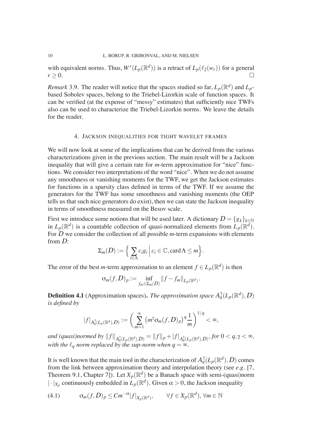with equivalent norms. Thus,  $W^r(L_p(\mathbb{R}^d))$  is a retract of  $L_p(\ell_2(w_r))$  for a general  $r \geq 0.$ 

*Remark* 3.9. The reader will notice that the spaces studied so far,  $L_p(\mathbb{R}^d)$  and  $L_p$ based Sobolev spaces, belong to the Triebel-Lizorkin scale of function spaces. It can be verified (at the expense of "messy" estimates) that sufficiently nice TWFs also can be used to characterize the Triebel-Lizorkin norms. We leave the details for the reader.

#### 4. JACKSON INEQUALITIES FOR TIGHT WAVELET FRAMES

We will now look at some of the implications that can be derived from the various characterizations given in the previous section. The main result will be a Jackson inequality that will give a certain rate for *m*-term approximation for "nice" functions. We consider two interpretations of the word "nice". When we do not assume any smoothness or vanishing moments for the TWF, we get the Jackson estimates for functions in a sparsity class defined in terms of the TWF. If we assume the generators for the TWF has some smoothness and vanishing moments (the OEP tells us that such nice generators do exist), then we can state the Jackson inequality in terms of smoothness measured on the Besov scale.

First we introduce some notions that will be used later. A dictionary  $D = \{g_k\}_{k \in \mathbb{N}}$ in  $L_p(\mathbb{R}^d)$  is a countable collection of quasi-normalized elements from  $L_p(\mathbb{R}^d)$ . For  $\overline{D}$  we consider the collection of all possible *m*-term expansions with elements from D:

$$
\Sigma_m(D) := \Big\{ \sum_{i \in \Lambda} c_i g_i \, \Big| \, c_i \in \mathbb{C}, \text{card}\,\Lambda \leq m \Big\}.
$$

The error of the best *m*-term approximation to an element  $f \in L_p(\mathbb{R}^d)$  is then

$$
\sigma_m(f,D)_p := \inf_{f_m \in \Sigma_m(D)} ||f - f_m||_{L_p(\mathbb{R}^d)}.
$$

**Definition 4.1** (Approximation spaces). *The approximation space*  $A_q^{\gamma}(L_p(\mathbb{R}^d), D)$ *is defined by*

$$
|f|_{A_q^{\gamma}(L_p(\mathbb{R}^d),D)} := \bigg(\sum_{m=1}^{\infty} (m^{\gamma}\sigma_m(f,D)_p)^q \frac{1}{m}\bigg)^{1/q} < \infty,
$$

 $and$   $(quasi) normed$   $by$   $\|f\|_{A^{\gamma}_{q}(L_{p}(\mathbb{R}^{d}), D)} = \|f\|_{p} + |f|_{A^{\gamma}_{q}(L_{p}(\mathbb{R}^{d}), D)}, for$   $0 < q, \gamma < \infty,$ *with the*  $\ell_q$  *norm replaced by the sup-norm when*  $q = \infty$ *.* 

It is well known that the main tool in the characterization of  $A_q^{\gamma}(L_p(\mathbb{R}^d), D)$  comes from the link between approximation theory and interpolation theory (see *e.g.* [7, Theorem 9.1, Chapter 7]). Let  $X_p(\mathbb{R}^d)$  be a Banach space with semi-(quasi)norm  $|\cdot|_{X_p}$  continuously embedded in  $\overline{L}_p(\mathbb{R}^d)$ . Given  $\alpha > 0$ , the Jackson inequality

$$
(4.1) \qquad \sigma_m(f, D)_p \leq C m^{-\alpha} |f|_{X_p(\mathbb{R}^d)}, \qquad \forall f \in X_p(\mathbb{R}^d), \forall m \in \mathbb{N}
$$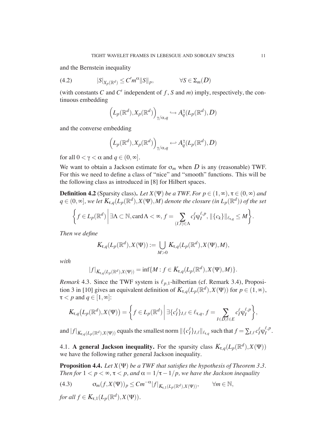and the Bernstein inequality

(4.2) 
$$
|S|_{X_p(\mathbb{R}^d)} \leq C'm^{\alpha}||S||_p, \qquad \forall S \in \Sigma_m(D)
$$

(with constants  $C$  and  $C'$  independent of  $f$ ,  $S$  and  $m$ ) imply, respectively, the continuous embedding

$$
\left(L_p(\mathbb{R}^d), X_p(\mathbb{R}^d)\right)_{\gamma/\alpha,q} \hookrightarrow A_q^{\gamma}(L_p(\mathbb{R}^d), D)
$$

and the converse embedding

$$
\left(L_p(\mathbb{R}^d), X_p(\mathbb{R}^d)\right)_{\gamma/\alpha,q} \hookleftarrow A_q^{\gamma}(L_p(\mathbb{R}^d), D)
$$

for all  $0 < \gamma < \alpha$  and  $q \in (0, \infty]$ .

We want to obtain a Jackson estimate for  $\sigma_m$  when D is any (reasonable) TWF. For this we need to define a class of "nice" and "smooth" functions. This will be the following class as introduced in [8] for Hilbert spaces.

**Definition 4.2** (Sparsity class). Let  $X(\Psi)$  be a TWF. For  $p \in (1,\infty)$ ,  $\tau \in (0,\infty)$  and  $q \in (0,\infty]$ , we let  $K_{\tau,q}(L_p(\mathbb{R}^d),X(\Psi),M)$  denote the closure (in  $L_p(\mathbb{R}^d)$ ) of the set

$$
\left\{f\in L_p(\mathbb{R}^d)\,\bigg|\,\exists \Lambda\subset\mathbb{N},\text{card}\,\Lambda<\infty,\,f=\sum_{(I,\ell)\in\Lambda}c_I^{\ell}\psi_I^{\ell,p},\,\|\{c_k\}\|_{\ell_{\tau,q}}\leq M\right\}.
$$

*Then we define*

$$
K_{\tau,q}(L_p(\mathbb{R}^d),X(\Psi)) := \bigcup_{M>0} K_{\tau,q}(L_p(\mathbb{R}^d),X(\Psi),M),
$$

*with*

$$
|f|_{K_{\tau,q}(L_p(\mathbb{R}^d),X(\Psi))} = \inf \{ M : f \in K_{\tau,q}(L_p(\mathbb{R}^d),X(\Psi),M) \}.
$$

*Remark* 4.3. Since the TWF system is  $\ell_{p,1}$ -hilbertian (cf. Remark 3.4), Proposition 3 in [10] gives an equivalent definition of  $K_{\tau,q}(L_p(\mathbb{R}^d), X(\Psi))$  for  $p \in (1,\infty)$ ,  $\tau < p$  and  $q \in [1,\infty]$ :

$$
K_{\tau,q}(L_p(\mathbb{R}^d),X(\Psi))=\bigg\{f\in L_p(\mathbb{R}^d)\bigg|\,\exists\{c_I^{\ell}\}_{I,\ell}\in\ell_{\tau,q},\,f=\sum_{I\in D,\ell\in E}c_I^{\ell}\psi_I^{\ell,p}\bigg\},
$$

and  $|f|_{K_{\tau,q}(L_p(\mathbb{R}^d),X(\Psi))}$  equals the smallest norm  $\|\{c^\ell_I\}_{I,\ell}\|_{\ell_{\tau,q}}$  such that  $f = \sum_{I,\ell} c^\ell_I \psi_I^{\ell,p}$  $I^{\ell,P}$ .

4.1. **A general Jackson inequality.** For the sparsity class  $K_{\tau,q}(L_p(\mathbb{R}^d), X(\Psi))$ we have the following rather general Jackson inequality.

**Proposition 4.4.** *Let*  $X(\Psi)$  *be a TWF that satisfies the hypothesis of Theorem 3.3. Then for*  $1 < p < \infty$ ,  $\tau < p$ , and  $\alpha = 1/\tau - 1/p$ , we have the Jackson inequality

(4.3) 
$$
\sigma_m(f, X(\Psi))_p \leq Cm^{-\alpha}|f|_{K_{\tau,1}(L_p(\mathbb{R}^d), X(\Psi))}, \quad \forall m \in \mathbb{N},
$$

*for all*  $f \in K_{\tau,1}(L_p(\mathbb{R}^d), X(\Psi))$ *.*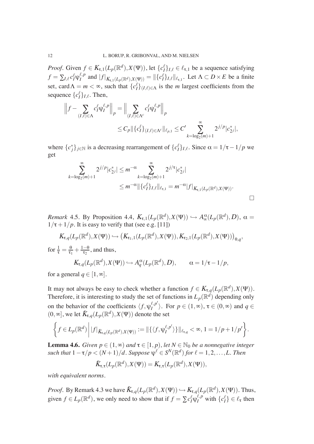*Proof.* Given  $f \in K_{\tau,1}(L_p(\mathbb{R}^d), X(\Psi))$ , let  $\{c_I^{\ell}\}_{I,\ell} \in \ell_{\tau,1}$  be a sequence satisfying  $f = \sum_{I,\ell} c^\ell_I \psi_I^{\ell,p}$  $\int_I^{\ell,p}$  and  $|f|_{K_{\tau,1}(L_p(\mathbb{R}^d),X(\Psi))} = ||\{c_I^{\ell}\}_{I,\ell}||_{\ell_{\tau,1}}$ . Let  $\Lambda \subset D \times E$  be a finite set, card  $\Lambda = m < \infty$ , such that  ${c_I^{\ell}}_{I,\ell \in \Lambda}$  is the *m* largest coefficients from the sequence  $\{c_I^{\ell}\}_{I,\ell}$ . Then,

$$
\left\|f - \sum_{(I,\ell) \in \Lambda} c_I^{\ell} \psi_I^{\ell,p} \right\|_p = \left\| \sum_{(I,\ell) \in \Lambda^c} c_I^{\ell} \psi_I^{\ell,p} \right\|_p
$$
  

$$
\leq C_p \|\{c_I^{\ell}\}_{(I,\ell) \in \Lambda^c} \|\ell_{p,1} \leq C' \sum_{k=\log_2(m)+1}^{\infty} 2^{j/p} |c_{2^j}^*|,
$$

where  $\{c_j^*\}_{j\in\mathbb{N}}$  is a decreasing rearrangement of  $\{c_l^{\ell}\}_{I,\ell}$ . Since  $\alpha = 1/\tau - 1/p$  we get

$$
\sum_{k=\log_2(m)+1}^{\infty} 2^{j/p} |c_{2^j}^*| \le m^{-\alpha} \sum_{k=\log_2(m)+1}^{\infty} 2^{j/\tau} |c_{2^j}^*|
$$
  

$$
\le m^{-\alpha} \|\{c_I^{\ell}\}_{I,\ell}\|_{\ell_{\tau,1}} = m^{-\alpha} |f|_{K_{\tau,1}(L_p(\mathbb{R}^d), X(\Psi))}.
$$

*Remark* 4.5*.* By Proposition 4.4,  $K_{\tau,1}(L_p(\mathbb{R}^d), X(\Psi)) \hookrightarrow A_\infty^{\alpha}(L_p(\mathbb{R}^d), D)$ ,  $\alpha =$  $1/\tau + 1/p$ . It is easy to verify that (see e.g. [11])

$$
K_{\tau,q}(L_p(\mathbb{R}^d),X(\Psi)) \hookrightarrow (K_{\tau_1,1}(L_p(\mathbb{R}^d),X(\Psi)),K_{\tau_2,1}(L_p(\mathbb{R}^d),X(\Psi)))_{\theta,q},
$$

for  $\frac{1}{\tau} = \frac{\theta}{\tau_1}$  $\frac{\theta}{\tau_1} + \frac{1-\theta}{\tau_2}$  $\frac{-\theta}{\tau_2}$ , and thus,

$$
K_{\tau,q}(L_p(\mathbb{R}^d), X(\Psi)) \hookrightarrow A_q^{\alpha}(L_p(\mathbb{R}^d), D), \qquad \alpha = 1/\tau - 1/p,
$$

for a general  $q \in [1,\infty]$ .

It may not always be easy to check whether a function  $f \in K_{\tau,q}(L_p(\mathbb{R}^d), X(\Psi))$ . Therefore, it is interesting to study the set of functions in  $L_p(\mathbb{R}^d)$  depending only on the behavior of the coefficients  $\langle f, \psi_I^{\ell, p'}\rangle$  $\{f, p \atop I}\rangle$ . For  $p \in (1, \infty)$ ,  $\tau \in (0, \infty)$  and  $q \in$  $(0, \infty]$ , we let  $\tilde{K}_{\tau,q}(L_p(\mathbb{R}^d), X(\Psi))$  denote the set

$$
\left\{f\in L_p(\mathbb{R}^d)\,\bigg|\,|f|_{\mathcal{K}_{\tau,q}(L_p(\mathbb{R}^d),X(\Psi))}:=\|\{\langle f,\psi_I^{\ell,p'}\rangle\}\|_{\ell_{\tau,q}}<\infty,\,1=1/p+1/p'\right\}.
$$

**Lemma 4.6.** *Given*  $p \in (1, \infty)$  *and*  $\tau \in [1, p)$ *, let*  $N \in \mathbb{N}_0$  *be a nonnegative integer*  $\mathit{such that}\; 1-\tau/p <(N+1)/d. \; \mathit{Suppose}\; \psi^\ell \in S^N(\mathbb R^d) \textit{ for }\ell=1,2,\ldots,L. \; \mathit{Then}$ 

$$
\tilde{K}_{\tau,\tau}(L_p(\mathbb{R}^d),X(\Psi))=K_{\tau,\tau}(L_p(\mathbb{R}^d),X(\Psi)),
$$

*with equivalent norms.*

*Proof.* By Remark 4.3 we have  $\tilde{K}_{\tau,q}(L_p(\mathbb{R}^d), X(\Psi)) \hookrightarrow K_{\tau,q}(L_p(\mathbb{R}^d), X(\Psi))$ . Thus, given  $f \in L_p(\mathbb{R}^d)$ , we only need to show that if  $f = \sum c_I^{\ell} \psi_I^{\ell, p}$  with  $\{c_I^{\ell}\} \in \ell_{\tau}$  then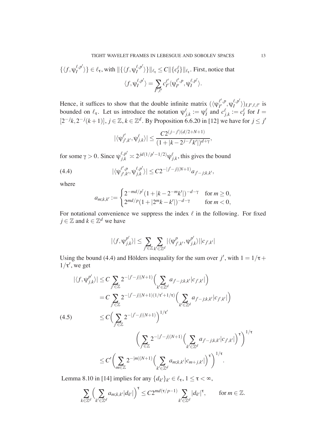$$
\{\langle f, \psi_I^{\ell, p'} \rangle\} \in \ell_{\tau}, \text{ with } \|\{\langle f, \psi_I^{\ell, p'} \rangle\}\|_{\ell_{\tau}} \le C \|\{c_I^{\ell}\}\|_{\ell_{\tau}}. \text{ First, notice that}
$$

$$
\langle f, \psi_I^{\ell, p'} \rangle = \sum_{I', \ell'} c_{I'}^{\ell'} \langle \psi_{I'}^{\ell', p}, \psi_I^{\ell, p'} \rangle.
$$

Hence, it suffices to show that the double infinite matrix  $(\langle \psi_{I'}^{\ell'} \rangle^p)$  $_{I^{\prime }}^{\ell ' ,p},\psi _{I}^{\ell ,p^{\prime }}$  $\binom{\ell, p}{I}$ ,  $\binom{l}{I}$ ,  $\ell, \ell'$  is bounded on  $\ell_{\tau}$ . Let us introduce the notation  $\psi_{j,k}^{\ell} := \psi_I^{\ell}$  and  $c_{j,k}^{\ell} := c_I^{\ell}$  for  $I =$  $[2^{-j}k, 2^{-j}(k+1)]$ ,  $j \in \mathbb{Z}$ ,  $k \in \mathbb{Z}^d$ . By Proposition 6.6.20 in [12] we have for  $j \leq j'$ 

$$
|\langle \psi_{j',k'}^{\ell'}, \psi_{j,k}^{\ell} \rangle| \leq \frac{C 2^{(j-j')(d/2+N+1)}}{(1+|k-2^{j-j'}k'|)^{d+\gamma}},
$$

for some  $\gamma > 0$ . Since  $\psi_{j,k}^{\ell,p'} \approx 2^{jd(1/p'-1/2)} \psi_{j,k}^{\ell}$ , this gives the bound

(4.4) 
$$
|\langle \psi_{j',k'}^{\ell',p}, \psi_{j,k}^{\ell,p'} \rangle| \leq C 2^{-|j'-j|(N+1)} a_{j'-j;k,k'},
$$

where

$$
a_{m;k,k'} := \begin{cases} 2^{-md/p'} (1+|k-2^{-m}k'|)^{-d-\gamma} & \text{for } m \ge 0, \\ 2^{md/p} (1+|2^mk-k'|)^{-d-\gamma} & \text{for } m < 0, \end{cases}
$$

For notational convenience we suppress the index  $\ell$  in the following. For fixed  $j \in \mathbb{Z}$  and  $k \in \mathbb{Z}^d$  we have

$$
|\langle f, \psi_{j,k}^{p'} \rangle| \leq \sum_{j' \in \mathbb{Z}} \sum_{k' \in \mathbb{Z}^d} |\langle \psi_{j',k'}^{p}, \psi_{j,k}^{p'} \rangle| |c_{j',k'}|
$$

Using the bound (4.4) and Hölders inequality for the sum over *j'*, with  $1 = 1/\tau +$  $1/\tau'$ , we get

$$
|\langle f, \psi_{j,k}^{p'} \rangle| \leq C \sum_{j' \in \mathbb{Z}} 2^{-|j'-j|(N+1)} \Big( \sum_{k' \in \mathbb{Z}^d} a_{j'-j;k,k'} |c_{j',k'}| \Big)
$$
  
\n
$$
= C \sum_{j' \in \mathbb{Z}} 2^{-|j'-j|(N+1)(1/\tau'+1/\tau)} \Big( \sum_{k' \in \mathbb{Z}^d} a_{j'-j;k,k'} |c_{j',k'}| \Big)
$$
  
\n(4.5)  
\n
$$
\leq C \Big( \sum_{j' \in \mathbb{Z}} 2^{-|j'-j|(N+1)} \Big)^{1/\tau'} \Big( \sum_{k' \in \mathbb{Z}^d} a_{j'-j;k,k'} |c_{j',k'}| \Big)^{\tau} \Big)^{1/\tau}
$$
  
\n
$$
\leq C' \Big( \sum_{m \in \mathbb{Z}} 2^{-|m|(N+1)} \Big( \sum_{k' \in \mathbb{Z}^d} a_{m;k,k'} |c_{m+j,k'}| \Big)^{\tau} \Big)^{1/\tau}.
$$

Lemma 8.10 in [14] implies for any  $\{d_{k'}\}_{k'} \in \ell_{\tau}$ ,  $1 \leq \tau < \infty$ ,

$$
\sum_{k\in\mathbb{Z}^d}\Big(\sum_{k'\in\mathbb{Z}^d}a_{m;k,k'}|d_{k'}|\Big)^{\tau}\leq C2^{md(\tau/p-1)}\sum_{k'\in\mathbb{Z}^d}|d_{k'}|^{\tau},\qquad\text{for }m\in\mathbb{Z}.
$$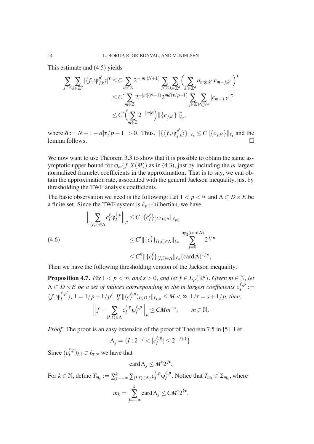This estimate and (4.5) yields

$$
\sum_{j\in\mathbb{Z}}\sum_{k\in\mathbb{Z}^d} |\langle f, \psi_{j,k}^{p'} \rangle|^\tau \leq C \sum_{m\in\mathbb{Z}} 2^{-|m|(N+1)} \sum_{j\in\mathbb{Z}}\sum_{k\in\mathbb{Z}^d} \Biggl(\sum_{k'\in\mathbb{Z}^d} a_{m;k,k'}|c_{m+j,k'}|\Biggr)^{\tau}
$$
  

$$
\leq C' \sum_{m\in\mathbb{Z}} 2^{-|m|(N+1)} 2^{md(\tau/p-1)} \sum_{j\in\mathbb{Z}}\sum_{k'\in\mathbb{Z}^d} |c_{m+j,k'}|^{\tau}
$$
  

$$
\leq C' \Biggl(\sum_{m\in\mathbb{Z}} 2^{-|m|\delta}\Biggr) \|\{c_{j,k'}\}\|_{\ell_\tau}^{\tau},
$$

where  $\delta := N + 1 - d|\tau/p - 1| > 0$ . Thus,  $\|\{\langle f, \psi_i^{p'} \rangle\}$  $\{e_{j,k}\rangle\}\|_{\ell_{\tau}} \leq C \|\{c_{j,k'}\}\|_{\ell_{\tau}}$  and the lemma follows.

We now want to use Theorem 3.3 to show that it is possible to obtain the same asymptotic upper bound for  $\sigma_m(f, X(\Psi))$  as in (4.3), just by including the *m* largest normalized framelet coefficients in the approximation. That is to say, we can obtain the approximation rate, associated with the general Jackson inequality, just by thresholding the TWF analysis coefficients.

The basic observation we need is the following: Let  $1 < p < \infty$  and  $\Lambda \subset D \times E$  be a finite set. Since the TWF system is  $\ell_{p,1}$ -hilbertian, we have

$$
\left\| \sum_{(I,\ell)\in\Lambda} c_I^{\ell} \psi_I^{\ell,p} \right\|_p \le C \|\{c_I^{\ell}\}_{(I,\ell)\in\Lambda}\|_{\ell_{p,1}} \le C \|\{c_I^{\ell}\}_{(I,\ell)\in\Lambda}\|_{\ell_{\infty}} \sum_{j=0}^{\log_2(\text{card}\Lambda)} 2^{j/p}
$$
  

$$
\le C' \|\{c_I^{\ell}\}_{(I,\ell)\in\Lambda}\|_{\ell_{\infty}} \sum_{j=0}^{\log_2(\text{card}\Lambda)} 2^{j/p}
$$

Then we have the following thresholding version of the Jackson inequality.

**Proposition 4.7.** *Fix*  $1 < p < \infty$ *, and s* > 0*, and let f*  $\in$  *L<sub>p</sub>*( $\mathbb{R}^d$ ). *Given m*  $\in$   $\mathbb{N}$ *, let*  $\Lambda \subset D \times E$  be a set of indices corresponding to the m largest coefficients  $c_I^{\ell,p} :=$  $\langle f, \psi_I^{\ell, p'}$  $\binom{\ell,p'}{I}$ , 1 = 1/*p* + 1/*p'*. *If*  $\|(c_I^{\ell,p})$  $\sum_{I}^{(\ell,P)}I\in D,\ell\|\ell_{\tau,\infty}\leq M<\infty,$   $1/\tau=s+1/p,$  then,

$$
\left\|f - \sum_{(I,\ell)\in\Lambda} c_I^{\ell,p} \psi_I^{\ell,p} \right\|_p \leq CMm^{-s}, \qquad m \in \mathbb{N}.
$$

*Proof.* The proof is an easy extension of the proof of Theorem 7.5 in [5]. Let

$$
\Lambda_j = \{I : 2^{-j} < |c_I^{\ell, p}| \le 2^{-j+1}\}.
$$

Since  $(c_I^{\ell,p}$  $\binom{\ell, P}{I}$ *I*, $\ell \in \ell_{\tau, \infty}$  we have that

$$
\operatorname{card}\Lambda_j\leq M^{\tau}2^{j\tau}.
$$

For  $k \in \mathbb{N}$ , define  $T_{m_k} := \sum_{j=-\infty}^k \sum_{(I,\ell) \in \Lambda_j} c_I^{\ell,p} \psi_I^{\ell,p}$  $I_I^{i,p}$ . Notice that  $T_{m_k} \in \Sigma_{m_k}$ , where  $m_k =$ *k* **D**<br>*j*=−∞  $card \Lambda_j \leq CM^{\tau}2^{k\tau}$ ,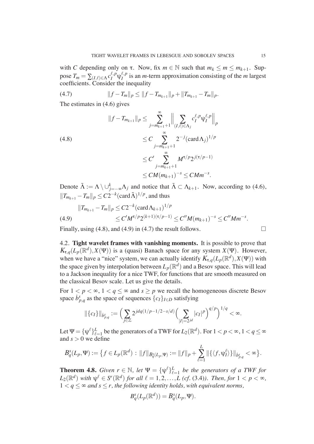with *C* depending only on  $\tau$ . Now, fix  $m \in \mathbb{N}$  such that  $m_k \le m \le m_{k+1}$ . Suppose  $T_m = \sum_{(I,\ell) \in \Lambda} c_I^{\ell,p} \psi_I^{\ell,p}$  $I_I^{(l)}$  is an *m*-term approximation consisting of the *m* largest coefficients. Consider the inequality

(4.7) 
$$
||f - T_m||_p \le ||f - T_{m_{k+1}}||_p + ||T_{m_{k+1}} - T_m||_p.
$$

The estimates in (4.6) gives

$$
||f - T_{m_{k+1}}||_p \le \sum_{j=m_{k+1}+1}^{\infty} \left| \left| \sum_{(I,\ell) \in \Lambda_j} c_I^{\ell,p} \psi_I^{\ell,p} \right| \right|_p
$$
  
\n
$$
\le C \sum_{j=m_{k+1}+1}^{\infty} 2^{-j} (\operatorname{card} \Lambda_j)^{1/p}
$$
  
\n
$$
\le C' \sum_{j=m_{k+1}+1}^{\infty} M^{\tau/p} 2^{j(\tau/p-1)}
$$
  
\n
$$
\le CM(m_{k+1})^{-s} \le CMm^{-s}.
$$

Denote  $\tilde{\Lambda} := \Lambda \setminus \cup_{j=-\infty}^{k} \Lambda_j$  and notice that  $\tilde{\Lambda} \subset \Lambda_{k+1}$ . Now, according to (4.6),  $||T_{m_{k+1}} - T_m||_p \leq C2^{-k}(\text{card }\tilde{\Lambda})^{1/p}$ , and thus

$$
||T_{m_{k+1}} - T_m||_p \le C2^{-k} (\text{card}\,\Lambda_{k+1})^{1/p}
$$
  
(4.9) 
$$
\le C'M^{\tau/p}2^{(k+1)(\tau/p-1)} \le C''M(m_{k+1})^{-s} \le C''Mm^{-s}.
$$

Finally, using  $(4.8)$ , and  $(4.9)$  in  $(4.7)$  the result follows.

4.2. **Tight wavelet frames with vanishing moments.** It is possible to prove that  $K_{\tau,q}(L_p(\mathbb{R}^d), X(\Psi))$  is a (quasi) Banach space for any system  $X(\Psi)$ . However, when we have a "nice" system, we can actually identify  $K_{\tau,q}(L_p(\mathbb{R}^d), X(\Psi))$  with the space given by interpolation between  $L_p(\mathbb{R}^d)$  and a Besov space. This will lead to a Jackson inequality for a nice TWF, for functions that are smooth measured on the classical Besov scale. Let us give the details.

For  $1 < p < \infty$ ,  $1 < q \le \infty$  and  $s \ge p$  we recall the homogeneous discrete Besov space  $b_{p,q}^s$  as the space of sequences  $\{c_I\}_{I \in D}$  satisfying

$$
\|\{c_I\}\|_{\dot{b}^s_{p,q}} := \bigg(\sum_{j\in\mathbb{Z}} 2^{jdq(1/p-1/2-s/d)} \bigg(\sum_{|I|=2^{jd}} |c_I|^p\bigg)^{q/p}\bigg)^{1/q} < \infty.
$$

Let  $\Psi = {\{\psi^{\ell}\}}_{\ell}^{L}$  $_{\ell=1}^L$  be the generators of a TWF for  $L_2(\mathbb R^d)$ . For  $1 < p < \infty, 1 < q \le \infty$ and  $s > 0$  we define

$$
B_q^s(L_p,\Psi) := \left\{ f \in L_p(\mathbb{R}^d) : ||f||_{B_q^s(L_p,\Psi)} := ||f||_p + \sum_{\ell=1}^L ||\left\{ \langle f, \psi_I^{\ell} \rangle \right\}||_{\dot{B}_{p,q}^s} < \infty \right\}.
$$

**Theorem 4.8.** *Given*  $r \in \mathbb{N}$ , *let*  $\Psi = {\psi^{\ell}}_{\ell}^{L}$  $_{\ell=1}^L$  be the generators of a TWF for  $L_2(\mathbb{R}^d)$  *with*  $\psi^{\ell} \in S^r(\mathbb{R}^d)$  *for all*  $\ell = 1, 2, ..., L$  (cf. (3.4)). Then, for  $1 < p < \infty$ ,  $1 < q \leq \infty$  and  $s \leq r$ , the following identity holds, with equivalent norms,

$$
B_q^s(L_p(\mathbb{R}^d)) = B_q^s(L_p, \Psi).
$$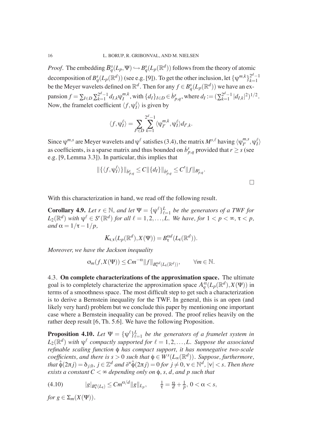*Proof.* The embedding  $B_q^s(L_p, \Psi) \hookrightarrow B_q^s(L_p(\mathbb{R}^d))$  follows from the theory of atomic decomposition of  $B^s_q(L_p(\mathbb{R}^d))$  (see e.g. [9]). To get the other inclusion, let  $\{\psi^{m,k}\}_{k=1}^{2^d-1}$ *k*=1 be the Meyer wavelets defined on  $\mathbb{R}^d$ . Then for any  $f \in B^s_q(L_p(\mathbb{R}^d))$  we have an expansion  $f = \sum_{I \in D} \sum_{k=1}^{2^d-1}$  $_{k=1}^{2^d-1} d_{I,k} \psi_I^{m,k}$  $I_I^{m,k}$ , with  $\{d_I\}_{I \in D} \in b_{p,q}^s$ , where  $d_I := (\sum_{k=1}^{2^d-1} I_k)$  $\int_{k=1}^{2^a-1} |d_{I,k}|^2)^{1/2}.$ Now, the framelet coefficient  $\langle f, \psi_I^{\ell} \rangle$  is given by

$$
\langle f, \psi_I^{\ell} \rangle = \sum_{I' \in D} \sum_{k=1}^{2^d-1} \langle \psi_{I'}^{m,k}, \psi_I^{\ell} \rangle d_{I',k}.
$$

Since  $\psi^{m,s}$  are Meyer wavelets and  $\psi^{\ell}$  satisfies (3.4), the matrix  $M^{s,\ell}$  having  $\langle \psi^{m,s}_{l'} \rangle$  $_{I^{\prime}}^{m,s},\psi_{I}^{\ell}\rangle$ as coefficients, is a sparse matrix and thus bounded on  $b_{p,q}^s$  provided that  $r \geq s$  (see e.g. [9, Lemma 3.3]). In particular, this implies that

$$
\|\{\langle f, \psi_I^{\ell} \rangle\}\|_{\dot{B}_{p,q}^s} \leq C \|\{d_I\}\|_{\dot{B}_{p,q}^s} \leq C' \|f\|_{B_{p,q}^s}.
$$

With this characterization in hand, we read off the following result.

**Corollary 4.9.** *Let*  $r \in \mathbb{N}$ *, and let*  $\Psi = {\Psi^{\ell}}_{\ell}^L$  $_{\ell=1}^L$  be the generators of a TWF for  $L_2(\mathbb{R}^d)$  *with*  $\psi^{\ell} \in S^r(\mathbb{R}^d)$  for all  $\ell = 1, 2, ..., L$ . We have, for  $1 < p < \infty$ ,  $\tau < p$ , *and*  $\alpha = 1/\tau - 1/p$ ,

$$
K_{\tau,\tau}(L_p(\mathbb{R}^d),X(\Psi))=B_{\tau}^{\alpha d}(L_{\tau}(\mathbb{R}^d)).
$$

*Moreover, we have the Jackson inequality*

$$
\sigma_m(f, X(\Psi)) \leq Cm^{-\alpha} ||f||_{B_{\tau}^{\alpha d}(L_{\tau}(\mathbb{R}^d))}, \qquad \forall m \in \mathbb{N}.
$$

4.3. **On complete characterizations of the approximation space.** The ultimate goal is to completely characterize the approximation space  $A_q^{\tilde{\alpha}}(L_p(\mathbb{R}^d), X(\Psi))$  in terms of a smoothness space. The most difficult step to get such a characterization is to derive a Bernstein inequality for the TWF. In general, this is an open (and likely very hard) problem but we conclude this paper by mentioning one important case where a Bernstein inequality can be proved. The proof relies heavily on the rather deep result [6, Th. 5.6]. We have the following Proposition.

**Proposition 4.10.** Let  $\Psi = {\Psi^{\ell}}_{\ell}$  $_{\ell=1}^L$  be the generators of a framelet system in  $L_2(\mathbb{R}^d)$  with  $\psi^{\ell}$  compactly supported for  $\ell = 1, 2, ..., L$ . Suppose the associated *refinable scaling function*  $\phi$  *has compact support, it has nonnegative two-scale*  $coefficients,$  and there is  $s > 0$  such that  $\phi \in W<sup>s</sup>(L_{\infty}(\mathbb{R}^d))$ . Suppose, furthermore,  $t$ hat  $\hat{\phi}(2\pi j) = \delta_{j,0}$ ,  $j\in\mathbb{Z}^d$  and  $\partial^\vee\hat{\phi}(2\pi j) = 0$  for  $j\neq 0$ ,  $\mathsf{v}\in\mathbb{N}^d$ ,  $|\mathsf{v}| < s$ . Then there *exists a constant*  $C < \infty$  *depending only on*  $\phi$ *, s, d, and p such that* 

(4.10) 
$$
|g|_{B^{\alpha}_{\tau}(L_{\tau})} \leq C m^{\alpha/d} ||g||_{L_p}, \qquad \frac{1}{\tau} = \frac{\alpha}{d} + \frac{1}{p}, \ 0 < \alpha < s,
$$

*for*  $g \in \Sigma_m(X(\Psi))$ *.*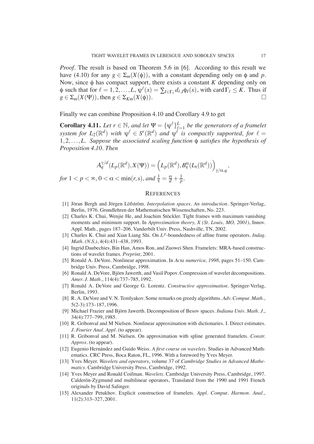*Proof.* The result is based on Theorem 5.6 in [6]. According to this result we have (4.10) for any  $g \in \Sigma_m(X(\phi))$ , with a constant depending only on  $\phi$  and p. Now, since  $\phi$  has compact support, there exists a constant  $K$  depending only on  $\phi$  such that for  $\ell = 1, 2, ..., L$ ,  $\psi^{\ell}(x) = \sum_{I \in \Gamma_{\ell}} d_{\ell, I} \phi_I(x)$ , with card  $\Gamma_{\ell} \leq K$ . Thus if  $g \in \Sigma_m(X(\Psi))$ , then  $g \in \Sigma_{Km}(X(\phi))$ .

Finally we can combine Proposition 4.10 and Corollary 4.9 to get

**Corollary 4.11.** Let  $r \in \mathbb{N}$ , and let  $\Psi = {\Psi^{\ell}}_{\ell}^L$  $_{\ell=1}^L$  be the generators of a framelet *system for*  $L_2(\mathbb{R}^d)$  *with*  $\psi^{\ell} \in S^r(\mathbb{R}^d)$  *and*  $\psi^{\ell}$  *is compactly supported, for*  $\ell =$  $1, 2, \ldots, L$ . Suppose the associated scaling function  $\phi$  *satisfies the hypothesis of Proposition 4.10. Then*

$$
A_q^{\gamma/d}(L_p(\mathbb{R}^d), X(\Psi)) = \left( L_p(\mathbb{R}^d), B_\tau^\alpha(L_\tau(\mathbb{R}^d)) \right)_{\gamma/\alpha, q},
$$
  
for  $1 < p < \infty, 0 < \alpha < \min(r, s)$ , and  $\frac{1}{\tau} = \frac{\alpha}{d} + \frac{1}{p}$ .

#### **REFERENCES**

- [1] Jöran Bergh and Jörgen Löfström. *Interpolation spaces. An introduction*. Springer-Verlag, Berlin, 1976. Grundlehren der Mathematischen Wissenschaften, No. 223.
- [2] Charles K. Chui, Wenjie He, and Joachim Stöckler. Tight frames with maximum vanishing moments and minimum support. In *Approximation theory, X (St. Louis, MO, 2001)*, Innov. Appl. Math., pages 187–206. Vanderbilt Univ. Press, Nashville, TN, 2002.
- [3] Charles K. Chui and Xian Liang Shi. On  $L^p$ -boundedness of affine frame operators. *Indag*. *Math. (N.S.)*, 4(4):431–438, 1993.
- [4] Ingrid Daubechies, Bin Han, Amos Ron, and Zuowei Shen. Framelets: MRA-based constructions of wavelet frames. *Preprint*, 2001.
- [5] Ronald A. DeVore. Nonlinear approximation. In *Acta numerica, 1998*, pages 51–150. Cambridge Univ. Press, Cambridge, 1998.
- [6] Ronald A. DeVore, Björn Jawerth, and Vasil Popov. Compression of wavelet decompositions. *Amer. J. Math.*, 114(4):737–785, 1992.
- [7] Ronald A. DeVore and George G. Lorentz. *Constructive approximation*. Springer-Verlag, Berlin, 1993.
- [8] R. A. DeVore and V. N. Temlyakov. Some remarks on greedy algorithms. *Adv. Comput. Math.*, 5(2-3):173–187, 1996.
- [9] Michael Frazier and Björn Jawerth. Decomposition of Besov spaces. *Indiana Univ. Math. J.*, 34(4):777–799, 1985.
- [10] R. Gribonval and M Nielsen. Nonlinear approximation with dictionaries. I. Direct estimates. *J. Fourier Anal. Appl.* (to appear).
- [11] R. Gribonval and M. Nielsen. On approximation with spline generated framelets. *Constr. Approx.* (to appear).
- [12] Eugenio Hern´andez and Guido Weiss. *A first course on wavelets*. Studies in Advanced Mathematics. CRC Press, Boca Raton, FL, 1996. With a foreword by Yves Meyer.
- [13] Yves Meyer. *Wavelets and operators*, volume 37 of *Cambridge Studies in Advanced Mathematics*. Cambridge University Press, Cambridge, 1992.
- [14] Yves Meyer and Ronald Coifman. *Wavelets*. Cambridge University Press, Cambridge, 1997. Calderón-Zygmund and multilinear operators, Translated from the 1990 and 1991 French originals by David Salinger.
- [15] Alexander Petukhov. Explicit construction of framelets. *Appl. Comput. Harmon. Anal.*, 11(2):313–327, 2001.